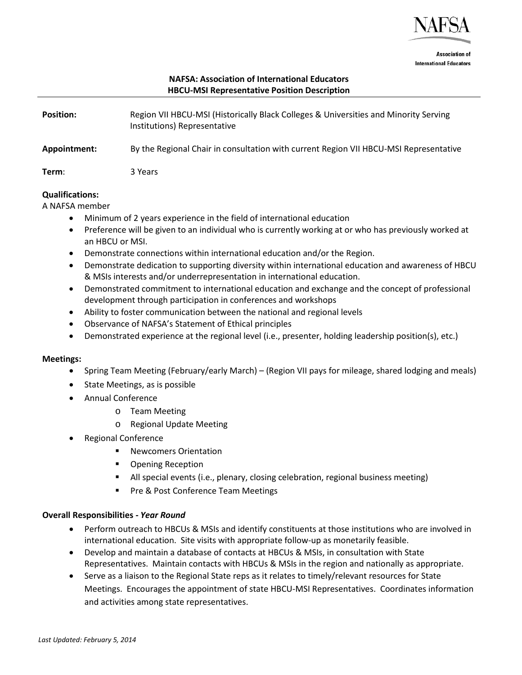

**Association of International Educators** 

# **NAFSA: Association of International Educators HBCU-MSI Representative Position Description**

| <b>Position:</b> | Region VII HBCU-MSI (Historically Black Colleges & Universities and Minority Serving<br>Institutions) Representative |
|------------------|----------------------------------------------------------------------------------------------------------------------|
| Appointment:     | By the Regional Chair in consultation with current Region VII HBCU-MSI Representative                                |
| Term:            | 3 Years                                                                                                              |

### **Qualifications:**

A NAFSA member

- Minimum of 2 years experience in the field of international education
- Preference will be given to an individual who is currently working at or who has previously worked at an HBCU or MSI.
- Demonstrate connections within international education and/or the Region.
- Demonstrate dedication to supporting diversity within international education and awareness of HBCU & MSIs interests and/or underrepresentation in international education.
- Demonstrated commitment to international education and exchange and the concept of professional development through participation in conferences and workshops
- Ability to foster communication between the national and regional levels
- Observance of NAFSA's Statement of Ethical principles
- Demonstrated experience at the regional level (i.e., presenter, holding leadership position(s), etc.)

## **Meetings:**

- Spring Team Meeting (February/early March) (Region VII pays for mileage, shared lodging and meals)
- State Meetings, as is possible
- Annual Conference
	- o Team Meeting
	- o Regional Update Meeting
- Regional Conference
	- Newcomers Orientation
	- Opening Reception
	- All special events (i.e., plenary, closing celebration, regional business meeting)
	- **Pre & Post Conference Team Meetings**

## **Overall Responsibilities** *- Year Round*

- Perform outreach to HBCUs & MSIs and identify constituents at those institutions who are involved in international education. Site visits with appropriate follow-up as monetarily feasible.
- Develop and maintain a database of contacts at HBCUs & MSIs, in consultation with State Representatives. Maintain contacts with HBCUs & MSIs in the region and nationally as appropriate.
- Serve as a liaison to the Regional State reps as it relates to timely/relevant resources for State Meetings. Encourages the appointment of state HBCU-MSI Representatives. Coordinates information and activities among state representatives.